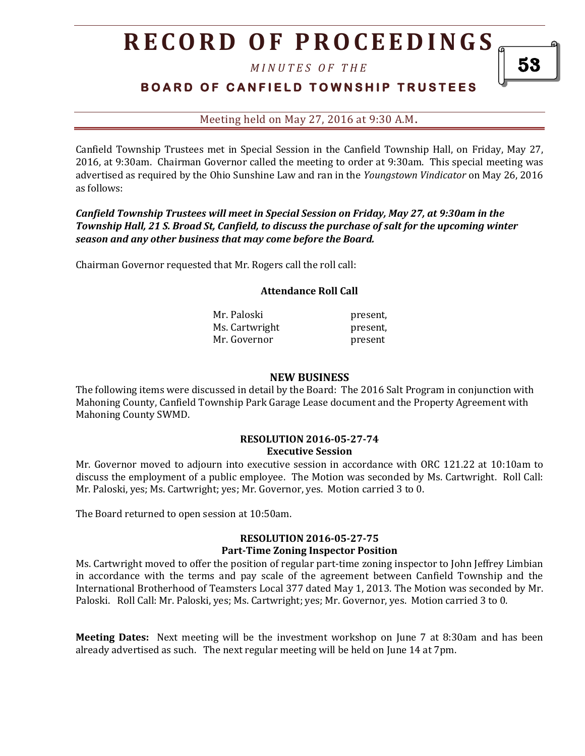## **R E C O R D O F P R O C E E D I N GS**

*M I N U T E S O F T H E* 

### **BOARD OF CANFIELD TOWNSHIP TRUSTEES**

Meeting held on May 27, 2016 at 9:30 A.M**.**

Canfield Township Trustees met in Special Session in the Canfield Township Hall, on Friday, May 27, 2016, at 9:30am. Chairman Governor called the meeting to order at 9:30am. This special meeting was advertised as required by the Ohio Sunshine Law and ran in the *Youngstown Vindicator* on May 26, 2016 as follows:

*Canfield Township Trustees will meet in Special Session on Friday, May 27, at 9:30am in the Township Hall, 21 S. Broad St, Canfield, to discuss the purchase of salt for the upcoming winter season and any other business that may come before the Board.*

Chairman Governor requested that Mr. Rogers call the roll call:

#### **Attendance Roll Call**

| Mr. Paloski    | present. |
|----------------|----------|
| Ms. Cartwright | present. |
| Mr. Governor   | present  |

#### **NEW BUSINESS**

The following items were discussed in detail by the Board: The 2016 Salt Program in conjunction with Mahoning County, Canfield Township Park Garage Lease document and the Property Agreement with Mahoning County SWMD.

#### **RESOLUTION 2016-05-27-74 Executive Session**

Mr. Governor moved to adjourn into executive session in accordance with ORC 121.22 at 10:10am to discuss the employment of a public employee. The Motion was seconded by Ms. Cartwright. Roll Call: Mr. Paloski, yes; Ms. Cartwright; yes; Mr. Governor, yes. Motion carried 3 to 0.

The Board returned to open session at 10:50am.

#### **RESOLUTION 2016-05-27-75 Part-Time Zoning Inspector Position**

Ms. Cartwright moved to offer the position of regular part-time zoning inspector to John Jeffrey Limbian in accordance with the terms and pay scale of the agreement between Canfield Township and the International Brotherhood of Teamsters Local 377 dated May 1, 2013. The Motion was seconded by Mr. Paloski. Roll Call: Mr. Paloski, yes; Ms. Cartwright; yes; Mr. Governor, yes. Motion carried 3 to 0.

**Meeting Dates:** Next meeting will be the investment workshop on June 7 at 8:30am and has been already advertised as such. The next regular meeting will be held on June 14 at 7pm.

53